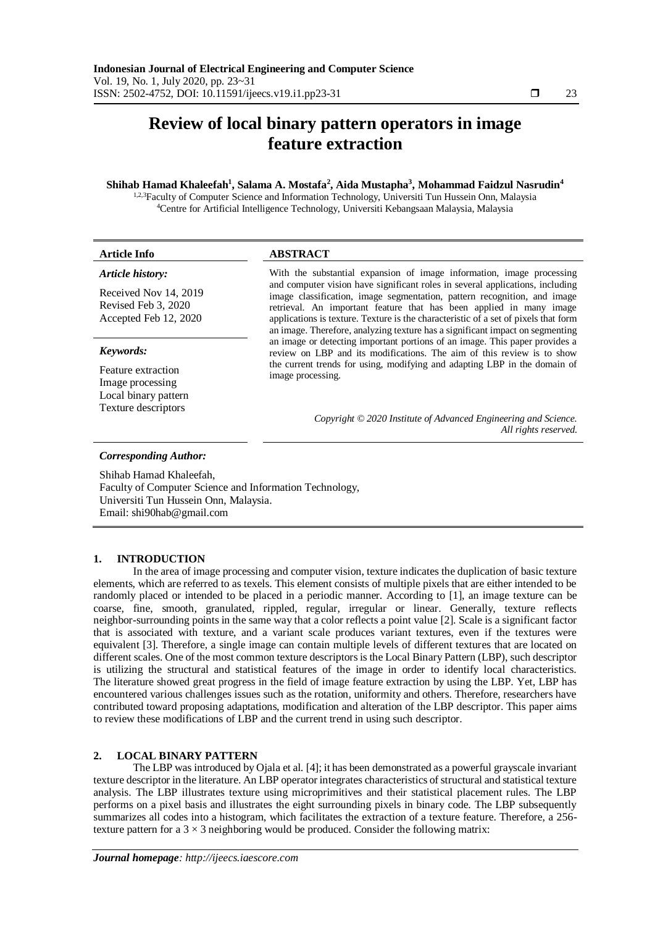# **Review of local binary pattern operators in image feature extraction**

# **Shihab Hamad Khaleefah<sup>1</sup> , Salama A. Mostafa<sup>2</sup> , Aida Mustapha<sup>3</sup> , Mohammad Faidzul Nasrudin<sup>4</sup>**

1,2,3Faculty of Computer Science and Information Technology, Universiti Tun Hussein Onn, Malaysia <sup>4</sup>Centre for Artificial Intelligence Technology, Universiti Kebangsaan Malaysia, Malaysia

| <b>Article Info</b>                                                   | <b>ABSTRACT</b>                                                                                                                                                                                                                                                                                                                                                                                          |
|-----------------------------------------------------------------------|----------------------------------------------------------------------------------------------------------------------------------------------------------------------------------------------------------------------------------------------------------------------------------------------------------------------------------------------------------------------------------------------------------|
| Article history:                                                      | With the substantial expansion of image information, image processing                                                                                                                                                                                                                                                                                                                                    |
| Received Nov 14, 2019<br>Revised Feb 3, 2020<br>Accepted Feb 12, 2020 | and computer vision have significant roles in several applications, including<br>image classification, image segmentation, pattern recognition, and image<br>retrieval. An important feature that has been applied in many image<br>applications is texture. Texture is the characteristic of a set of pixels that form<br>an image. Therefore, analyzing texture has a significant impact on segmenting |
| Keywords:                                                             | an image or detecting important portions of an image. This paper provides a<br>review on LBP and its modifications. The aim of this review is to show                                                                                                                                                                                                                                                    |
| Feature extraction<br>Image processing<br>Local binary pattern        | the current trends for using, modifying and adapting LBP in the domain of<br>image processing.                                                                                                                                                                                                                                                                                                           |
| Texture descriptors                                                   | Copyright © 2020 Institute of Advanced Engineering and Science.<br>All rights reserved.                                                                                                                                                                                                                                                                                                                  |
| <b>Corresponding Author:</b>                                          |                                                                                                                                                                                                                                                                                                                                                                                                          |
| Shihab Hamad Khaleefah,                                               |                                                                                                                                                                                                                                                                                                                                                                                                          |

Faculty of Computer Science and Information Technology, Universiti Tun Hussein Onn, Malaysia. Email: shi90hab@gmail.com

# **1. INTRODUCTION**

In the area of image processing and computer vision, texture indicates the duplication of basic texture elements, which are referred to as texels. This element consists of multiple pixels that are either intended to be randomly placed or intended to be placed in a periodic manner. According to [1], an image texture can be coarse, fine, smooth, granulated, rippled, regular, irregular or linear. Generally, texture reflects neighbor-surrounding points in the same way that a color reflects a point value [2]. Scale is a significant factor that is associated with texture, and a variant scale produces variant textures, even if the textures were equivalent [3]. Therefore, a single image can contain multiple levels of different textures that are located on different scales. One of the most common texture descriptors is the Local Binary Pattern (LBP), such descriptor is utilizing the structural and statistical features of the image in order to identify local characteristics. The literature showed great progress in the field of image feature extraction by using the LBP. Yet, LBP has encountered various challenges issues such as the rotation, uniformity and others. Therefore, researchers have contributed toward proposing adaptations, modification and alteration of the LBP descriptor. This paper aims to review these modifications of LBP and the current trend in using such descriptor.

# **2. LOCAL BINARY PATTERN**

The LBP was introduced by Ojala et al. [4]; it has been demonstrated as a powerful grayscale invariant texture descriptor in the literature. An LBP operator integrates characteristics of structural and statistical texture analysis. The LBP illustrates texture using microprimitives and their statistical placement rules. The LBP performs on a pixel basis and illustrates the eight surrounding pixels in binary code. The LBP subsequently summarizes all codes into a histogram, which facilitates the extraction of a texture feature. Therefore, a 256 texture pattern for a  $3 \times 3$  neighboring would be produced. Consider the following matrix: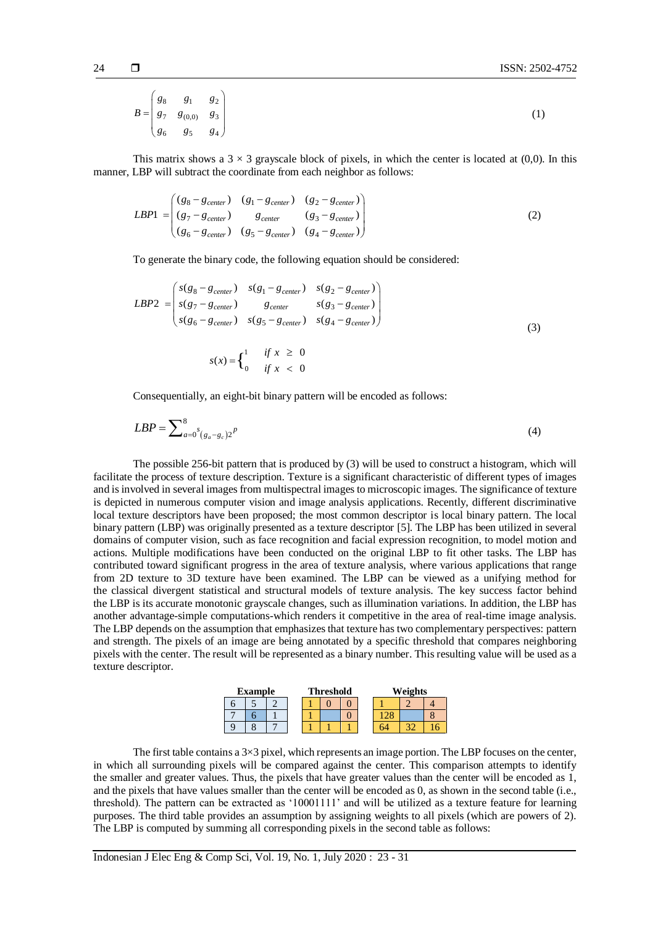$$
B = \begin{pmatrix} g_8 & g_1 & g_2 \\ g_7 & g_{(0,0)} & g_3 \\ g_6 & g_5 & g_4 \end{pmatrix}
$$
 (1)

This matrix shows a  $3 \times 3$  grayscale block of pixels, in which the center is located at (0,0). In this manner, LBP will subtract the coordinate from each neighbor as follows:

$$
LBP1 = \begin{pmatrix} (g_8 - g_{center}) & (g_1 - g_{center}) & (g_2 - g_{center}) \\ (g_7 - g_{center}) & g_{center} & (g_3 - g_{center}) \\ (g_6 - g_{center}) & (g_5 - g_{center}) & (g_4 - g_{center}) \end{pmatrix}
$$
(2)

To generate the binary code, the following equation should be considered:

$$
LBP2 = \begin{pmatrix} s(g_8 - g_{center}) & s(g_1 - g_{center}) & s(g_2 - g_{center}) \\ s(g_7 - g_{center}) & g_{center} & s(g_3 - g_{center}) \\ s(g_6 - g_{center}) & g(g_5 - g_{center}) & s(g_4 - g_{center}) \end{pmatrix}
$$
  

$$
s(x) = \begin{cases} 1 & \text{if } x \ge 0 \\ 0 & \text{if } x < 0 \end{cases}
$$
 (3)

Consequentially, an eight-bit binary pattern will be encoded as follows:

$$
LBP = \sum_{a=0}^{8} \sum_{(g_a - g_c)2}^{8} P^{(a)}(4)
$$

The possible 256-bit pattern that is produced by (3) will be used to construct a histogram, which will facilitate the process of texture description. Texture is a significant characteristic of different types of images and is involved in several images from multispectral images to microscopic images. The significance of texture is depicted in numerous computer vision and image analysis applications. Recently, different discriminative local texture descriptors have been proposed; the most common descriptor is local binary pattern. The local binary pattern (LBP) was originally presented as a texture descriptor [5]. The LBP has been utilized in several domains of computer vision, such as face recognition and facial expression recognition, to model motion and actions. Multiple modifications have been conducted on the original LBP to fit other tasks. The LBP has contributed toward significant progress in the area of texture analysis, where various applications that range from 2D texture to 3D texture have been examined. The LBP can be viewed as a unifying method for the classical divergent statistical and structural models of texture analysis. The key success factor behind the LBP is its accurate monotonic grayscale changes, such as illumination variations. In addition, the LBP has another advantage-simple computations-which renders it competitive in the area of real-time image analysis. The LBP depends on the assumption that emphasizes that texture has two complementary perspectives: pattern and strength. The pixels of an image are being annotated by a specific threshold that compares neighboring pixels with the center. The result will be represented as a binary number. This resulting value will be used as a texture descriptor.

| <b>Example</b> |  |  | <b>Threshold</b> |  |  | Weights |  |  |  |
|----------------|--|--|------------------|--|--|---------|--|--|--|
|                |  |  |                  |  |  |         |  |  |  |
|                |  |  |                  |  |  |         |  |  |  |
|                |  |  |                  |  |  |         |  |  |  |

The first table contains a  $3\times3$  pixel, which represents an image portion. The LBP focuses on the center, in which all surrounding pixels will be compared against the center. This comparison attempts to identify the smaller and greater values. Thus, the pixels that have greater values than the center will be encoded as 1, and the pixels that have values smaller than the center will be encoded as 0, as shown in the second table (i.e., threshold). The pattern can be extracted as '10001111' and will be utilized as a texture feature for learning purposes. The third table provides an assumption by assigning weights to all pixels (which are powers of 2). The LBP is computed by summing all corresponding pixels in the second table as follows: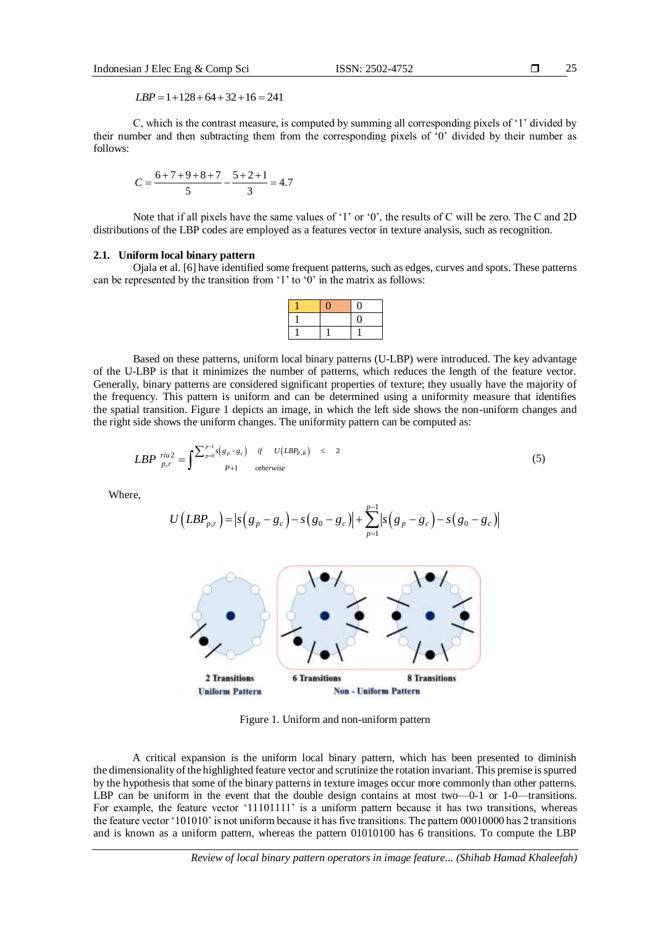25

 $LBP = 1 + 128 + 64 + 32 + 16 = 241$ 

C, which is the contrast measure, is computed by summing all corresponding pixels of '1' divided by their number and then subtracting them from the corresponding pixels of '0' divided by their number as follows:

$$
C = \frac{6+7+9+8+7}{5} - \frac{5+2+1}{3} = 4.7
$$

Note that if all pixels have the same values of '1' or '0', the results of C will be zero. The C and 2D distributions of the LBP codes are employed as a features vector in texture analysis, such as recognition.

## **2.1. Uniform local binary pattern**

Ojala et al. [6] have identified some frequent patterns, such as edges, curves and spots. These patterns can be represented by the transition from '1' to '0' in the matrix as follows:

Based on these patterns, uniform local binary patterns (U-LBP) were introduced. The key advantage of the U-LBP is that it minimizes the number of patterns, which reduces the length of the feature vector. Generally, binary patterns are considered significant properties of texture; they usually have the majority of the frequency. This pattern is uniform and can be determined using a uniformity measure that identifies the spatial transition. Figure 1 depicts an image, in which the left side shows the non-uniform changes and the right side shows the uniform changes. The uniformity pattern can be computed as:

$$
LBP \stackrel{riu2}{\underset{p,r}{\text{in}}} = \int_{\mathcal{D}} \sum_{p=0}^{p-1} s \left( g_p - g_c \right) \quad \text{if} \quad U\left( LBP_{p,R} \right) \leq 2 \tag{5}
$$

Where,

$$
U\left(LBP_{p,r}\right) = \left| s\left(g_p - g_c\right) - s\left(g_0 - g_c\right) \right| + \sum_{p=1}^{p-1} \left| s\left(g_p - g_c\right) - s\left(g_0 - g_c\right) \right|
$$



Figure 1. Uniform and non-uniform pattern

A critical expansion is the uniform local binary pattern, which has been presented to diminish the dimensionality of the highlighted feature vector and scrutinize the rotation invariant. This premise is spurred by the hypothesis that some of the binary patterns in texture images occur more commonly than other patterns. LBP can be uniform in the event that the double design contains at most two—0-1 or 1-0—transitions. For example, the feature vector '11101111' is a uniform pattern because it has two transitions, whereas the feature vector '101010' is not uniform because it has five transitions. The pattern 00010000 has 2 transitions and is known as a uniform pattern, whereas the pattern 01010100 has 6 transitions. To compute the LBP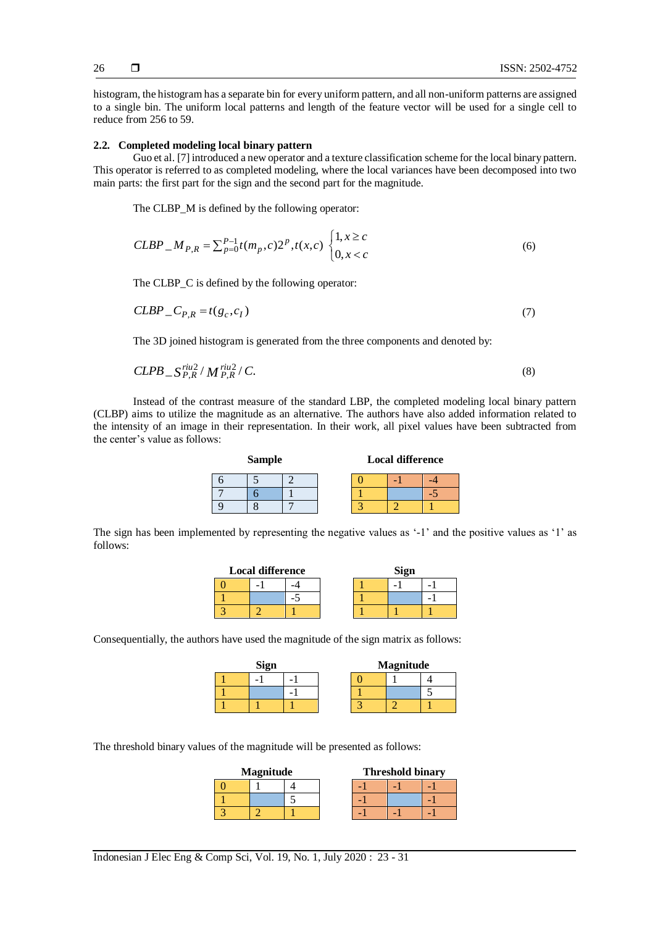histogram, the histogram has a separate bin for every uniform pattern, and all non-uniform patterns are assigned to a single bin. The uniform local patterns and length of the feature vector will be used for a single cell to reduce from 256 to 59.

# **2.2. Completed modeling local binary pattern**

Guo et al. [7] introduced a new operator and a texture classification scheme for the local binary pattern. This operator is referred to as completed modeling, where the local variances have been decomposed into two main parts: the first part for the sign and the second part for the magnitude.

The CLBP\_M is defined by the following operator:  
\n
$$
CLBP \_M_{P,R} = \sum_{p=0}^{P-1} t(m_p, c) 2^p, t(x, c) \begin{cases} 1, x \ge c \\ 0, x < c \end{cases}
$$
\n(6)

The CLBP\_C is defined by the following operator:

$$
CLBP \_C_{P,R} = t(g_c, c_I) \tag{7}
$$

The 3D joined histogram is generated from the three components and denoted by:

$$
CLPB \, S_{P,R}^{riu2} / M_{P,R}^{riu2} / C. \tag{8}
$$

Instead of the contrast measure of the standard LBP, the completed modeling local binary pattern (CLBP) aims to utilize the magnitude as an alternative. The authors have also added information related to the intensity of an image in their representation. In their work, all pixel values have been subtracted from the center's value as follows:

| <b>Sample</b> |  |  |  | <b>Local difference</b> |  |
|---------------|--|--|--|-------------------------|--|
|               |  |  |  |                         |  |
|               |  |  |  |                         |  |
|               |  |  |  |                         |  |

The sign has been implemented by representing the negative values as '-1' and the positive values as '1' as follows:

| <b>Local difference</b> |  | Sign |  |
|-------------------------|--|------|--|
|                         |  |      |  |
|                         |  |      |  |
|                         |  |      |  |

Consequentially, the authors have used the magnitude of the sign matrix as follows:

| <b>Sign</b> |  |  |  |  |  | <b>Magnitude</b> |
|-------------|--|--|--|--|--|------------------|
|             |  |  |  |  |  |                  |
|             |  |  |  |  |  |                  |
|             |  |  |  |  |  |                  |

The threshold binary values of the magnitude will be presented as follows:

| <b>Magnitude</b> |  | <b>Threshold binary</b> |  |
|------------------|--|-------------------------|--|
|                  |  |                         |  |
|                  |  |                         |  |
|                  |  |                         |  |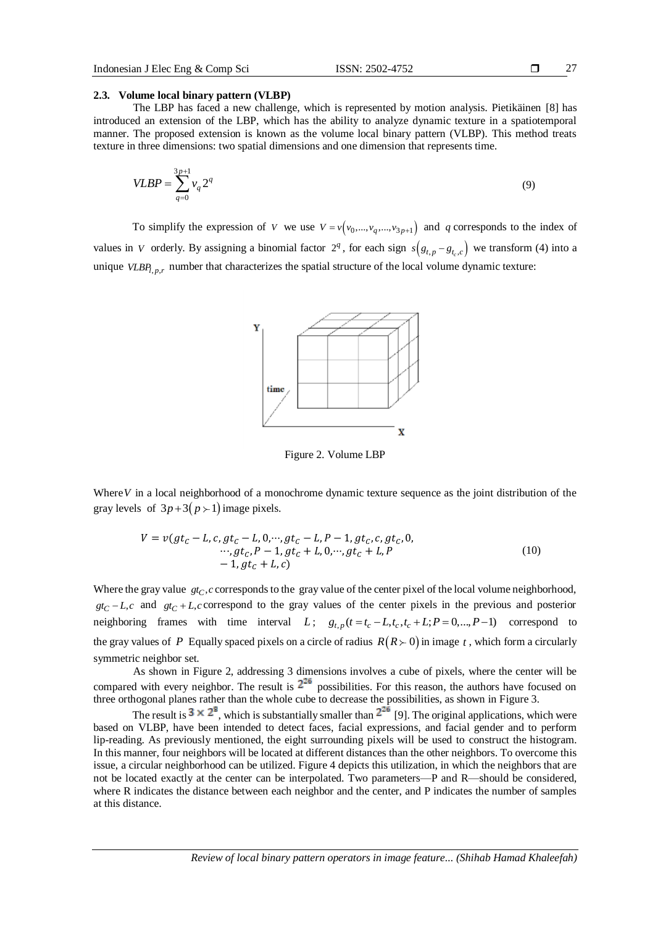27

## **2.3. Volume local binary pattern (VLBP)**

The LBP has faced a new challenge, which is represented by motion analysis. Pietikäinen [8] has introduced an extension of the LBP, which has the ability to analyze dynamic texture in a spatiotemporal manner. The proposed extension is known as the volume local binary pattern (VLBP). This method treats texture in three dimensions: two spatial dimensions and one dimension that represents time.

$$
VLBP = \sum_{q=0}^{3p+1} v_q 2^q
$$
 (9)

To simplify the expression of *V* we use  $V = v(v_0, ..., v_q, ..., v_{3p+1})$  and *q* corresponds to the index of values in V orderly. By assigning a binomial factor  $2^q$ , for each sign  $s(g_{t,p} - g_{t_c,c})$  we transform (4) into a unique  $VLBP_{l,p,r}$  number that characterizes the spatial structure of the local volume dynamic texture:



Figure 2. Volume LBP

Where *V* in a local neighborhood of a monochrome dynamic texture sequence as the joint distribution of the gray levels of  $3p+3(p+1)$  image pixels.

$$
V = v(gt_c - L, c, gt_c - L, 0, \cdots, gt_c - L, P - 1, gt_c, c, gt_c, 0,\cdots, gt_c, P - 1, gt_c + L, 0, \cdots, gt_c + L, P\n- 1, gt_c + L, c)
$$
\n(10)

Where the gray value  $gt_C$ ,  $c$  corresponds to the gray value of the center pixel of the local volume neighborhood,  $gt_C - L$ , *c* and  $gt_C + L$ , *c* correspond to the gray values of the center pixels in the previous and posterior  $gt_c - L$ , and  $gt_c + L$ , correspond to the gray values of the center pixels in the previous and posterior neighboring frames with time interval L;  $g_{t,p}(t = t_c - L, t_c, t_c + L; P = 0, ..., P-1)$  correspond to the gray values of P Equally spaced pixels on a circle of radius  $R(R \succ 0)$  in image t, which form a circularly symmetric neighbor set.

As shown in Figure 2, addressing 3 dimensions involves a cube of pixels, where the center will be compared with every neighbor. The result is  $2^{20}$  possibilities. For this reason, the authors have focused on three orthogonal planes rather than the whole cube to decrease the possibilities, as shown in Figure 3.

The result is  $3 \times 2^8$ , which is substantially smaller than  $2^{26}$  [9]. The original applications, which were based on VLBP, have been intended to detect faces, facial expressions, and facial gender and to perform lip-reading. As previously mentioned, the eight surrounding pixels will be used to construct the histogram. In this manner, four neighbors will be located at different distances than the other neighbors. To overcome this issue, a circular neighborhood can be utilized. Figure 4 depicts this utilization, in which the neighbors that are not be located exactly at the center can be interpolated. Two parameters—P and R—should be considered, where R indicates the distance between each neighbor and the center, and P indicates the number of samples at this distance.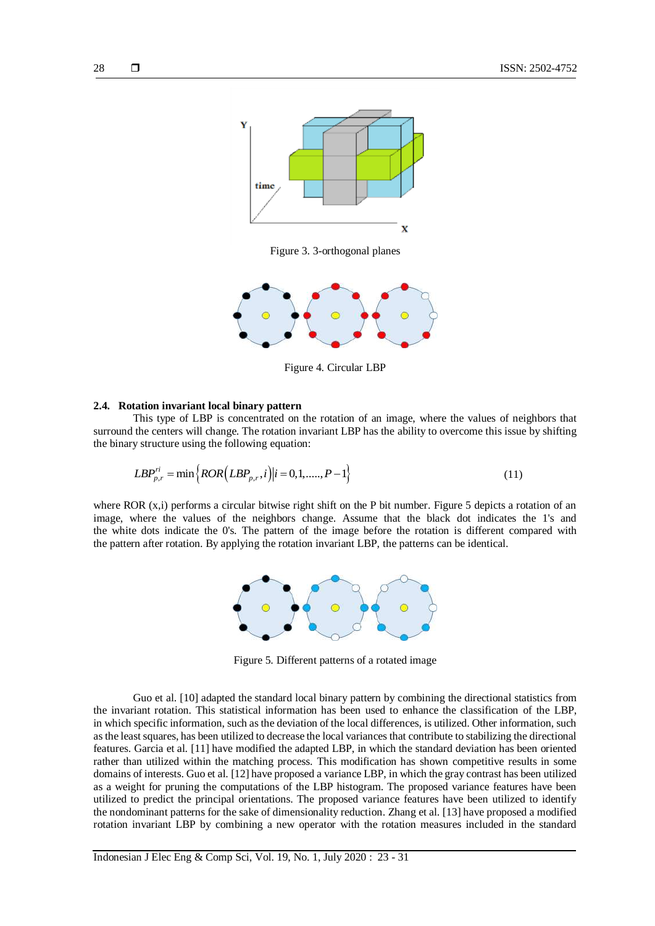

Figure 3. 3-orthogonal planes



Figure 4. Circular LBP

## **2.4. Rotation invariant local binary pattern**

This type of LBP is concentrated on the rotation of an image, where the values of neighbors that surround the centers will change. The rotation invariant LBP has the ability to overcome this issue by shifting the binary structure using the following equation:

$$
LBP_{p,r}^{ri} = \min \{ ROR(LBP_{p,r}, i) | i = 0, 1, \dots, P-1 \}
$$
\n(11)

where ROR (x,i) performs a circular bitwise right shift on the P bit number. Figure 5 depicts a rotation of an image, where the values of the neighbors change. Assume that the black dot indicates the 1's and the white dots indicate the 0's. The pattern of the image before the rotation is different compared with the pattern after rotation. By applying the rotation invariant LBP, the patterns can be identical.



Figure 5. Different patterns of a rotated image

Guo et al. [10] adapted the standard local binary pattern by combining the directional statistics from the invariant rotation. This statistical information has been used to enhance the classification of the LBP, in which specific information, such as the deviation of the local differences, is utilized. Other information, such as the least squares, has been utilized to decrease the local variances that contribute to stabilizing the directional features. Garcia et al. [11] have modified the adapted LBP, in which the standard deviation has been oriented rather than utilized within the matching process. This modification has shown competitive results in some domains of interests. Guo et al. [12] have proposed a variance LBP, in which the gray contrast has been utilized as a weight for pruning the computations of the LBP histogram. The proposed variance features have been utilized to predict the principal orientations. The proposed variance features have been utilized to identify the nondominant patterns for the sake of dimensionality reduction. Zhang et al. [13] have proposed a modified rotation invariant LBP by combining a new operator with the rotation measures included in the standard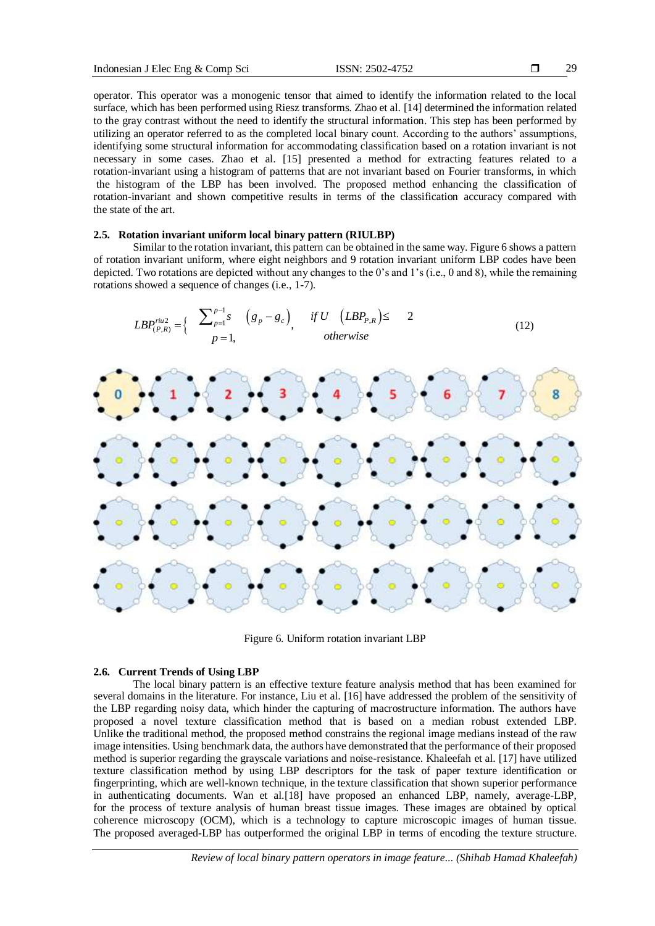29

operator. This operator was a monogenic tensor that aimed to identify the information related to the local surface, which has been performed using Riesz transforms. Zhao et al. [14] determined the information related to the gray contrast without the need to identify the structural information. This step has been performed by utilizing an operator referred to as the completed local binary count. According to the authors' assumptions, identifying some structural information for accommodating classification based on a rotation invariant is not necessary in some cases. Zhao et al. [15] presented a method for extracting features related to a rotation-invariant using a histogram of patterns that are not invariant based on Fourier transforms, in which the histogram of the LBP has been involved. The proposed method enhancing the classification of rotation-invariant and shown competitive results in terms of the classification accuracy compared with the state of the art.

# **2.5. Rotation invariant uniform local binary pattern (RIULBP)**

Similar to the rotation invariant, this pattern can be obtained in the same way. Figure 6 shows a pattern of rotation invariant uniform, where eight neighbors and 9 rotation invariant uniform LBP codes have been depicted. Two rotations are depicted without any changes to the 0's and 1's (i.e., 0 and 8), while the remaining rotations showed a sequence of changes (i.e., 1-7).



Figure 6. Uniform rotation invariant LBP

## **2.6. Current Trends of Using LBP**

The local binary pattern is an effective texture feature analysis method that has been examined for several domains in the literature. For instance, Liu et al. [16] have addressed the problem of the sensitivity of the LBP regarding noisy data, which hinder the capturing of macrostructure information. The authors have proposed a novel texture classification method that is based on a median robust extended LBP. Unlike the traditional method, the proposed method constrains the regional image medians instead of the raw image intensities. Using benchmark data, the authors have demonstrated that the performance of their proposed method is superior regarding the grayscale variations and noise-resistance. Khaleefah et al. [17] have utilized texture classification method by using LBP descriptors for the task of paper texture identification or fingerprinting, which are well-known technique, in the texture classification that shown superior performance in authenticating documents. Wan et al.[18] have proposed an enhanced LBP, namely, average-LBP, for the process of texture analysis of human breast tissue images. These images are obtained by optical coherence microscopy (OCM), which is a technology to capture microscopic images of human tissue. The proposed averaged-LBP has outperformed the original LBP in terms of encoding the texture structure.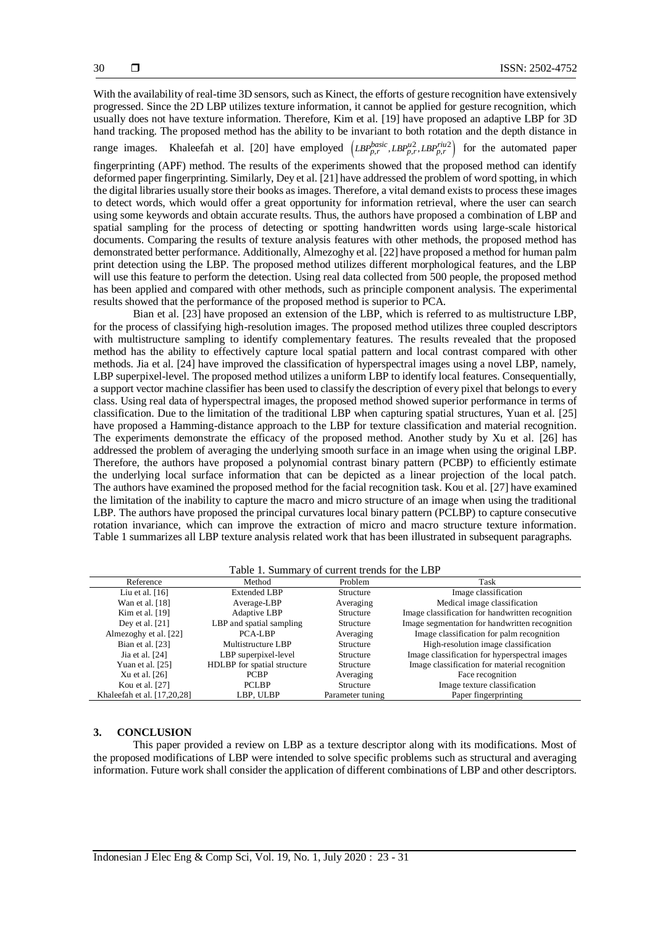With the availability of real-time 3D sensors, such as Kinect, the efforts of gesture recognition have extensively progressed. Since the 2D LBP utilizes texture information, it cannot be applied for gesture recognition, which usually does not have texture information. Therefore, Kim et al. [19] have proposed an adaptive LBP for 3D hand tracking. The proposed method has the ability to be invariant to both rotation and the depth distance in

range images. Khaleefah et al. [20] have employed  $(LBP_{p,r}^{basic}, LBP_{p,r}^{rel2})$  for the automated paper

fingerprinting (APF) method. The results of the experiments showed that the proposed method can identify deformed paper fingerprinting. Similarly, Dey et al. [21] have addressed the problem of word spotting, in which the digital libraries usually store their books as images. Therefore, a vital demand exists to process these images to detect words, which would offer a great opportunity for information retrieval, where the user can search using some keywords and obtain accurate results. Thus, the authors have proposed a combination of LBP and spatial sampling for the process of detecting or spotting handwritten words using large-scale historical documents. Comparing the results of texture analysis features with other methods, the proposed method has demonstrated better performance. Additionally, Almezoghy et al. [22] have proposed a method for human palm print detection using the LBP. The proposed method utilizes different morphological features, and the LBP will use this feature to perform the detection. Using real data collected from 500 people, the proposed method has been applied and compared with other methods, such as principle component analysis. The experimental results showed that the performance of the proposed method is superior to PCA.

Bian et al. [23] have proposed an extension of the LBP, which is referred to as multistructure LBP, for the process of classifying high-resolution images. The proposed method utilizes three coupled descriptors with multistructure sampling to identify complementary features. The results revealed that the proposed method has the ability to effectively capture local spatial pattern and local contrast compared with other methods. Jia et al. [24] have improved the classification of hyperspectral images using a novel LBP, namely, LBP superpixel-level. The proposed method utilizes a uniform LBP to identify local features. Consequentially, a support vector machine classifier has been used to classify the description of every pixel that belongs to every class. Using real data of hyperspectral images, the proposed method showed superior performance in terms of classification. Due to the limitation of the traditional LBP when capturing spatial structures, Yuan et al. [25] have proposed a Hamming-distance approach to the LBP for texture classification and material recognition. The experiments demonstrate the efficacy of the proposed method. Another study by Xu et al. [26] has addressed the problem of averaging the underlying smooth surface in an image when using the original LBP. Therefore, the authors have proposed a polynomial contrast binary pattern (PCBP) to efficiently estimate the underlying local surface information that can be depicted as a linear projection of the local patch. The authors have examined the proposed method for the facial recognition task. Kou et al. [27] have examined the limitation of the inability to capture the macro and micro structure of an image when using the traditional LBP. The authors have proposed the principal curvatures local binary pattern (PCLBP) to capture consecutive rotation invariance, which can improve the extraction of micro and macro structure texture information. Table 1 summarizes all LBP texture analysis related work that has been illustrated in subsequent paragraphs.

#### Table 1. Summary of current trends for the LBP

| Reference                   | Method                      | Problem          | Task                                             |
|-----------------------------|-----------------------------|------------------|--------------------------------------------------|
| Liu et al. $[16]$           | <b>Extended LBP</b>         | Structure        | Image classification                             |
| Wan et al. $[18]$           | Average-LBP                 | Averaging        | Medical image classification                     |
| Kim et al. $[19]$           | Adaptive LBP                | Structure        | Image classification for handwritten recognition |
| Dey et al. $[21]$           | LBP and spatial sampling    | Structure        | Image segmentation for handwritten recognition   |
| Almezoghy et al. [22]       | PCA-LBP                     | Averaging        | Image classification for palm recognition        |
| Bian et al. [23]            | Multistructure LBP          | Structure        | High-resolution image classification             |
| Jia et al. [24]             | LBP superpixel-level        | Structure        | Image classification for hyperspectral images    |
| Yuan et al. [25]            | HDLBP for spatial structure | Structure        | Image classification for material recognition    |
| Xu et al. $[26]$            | <b>PCBP</b>                 | Averaging        | Face recognition                                 |
| Kou et al. [27]             | <b>PCLBP</b>                | Structure        | Image texture classification                     |
| Khaleefah et al. [17,20,28] | LBP, ULBP                   | Parameter tuning | Paper fingerprinting                             |

#### **3. CONCLUSION**

This paper provided a review on LBP as a texture descriptor along with its modifications. Most of the proposed modifications of LBP were intended to solve specific problems such as structural and averaging information. Future work shall consider the application of different combinations of LBP and other descriptors.